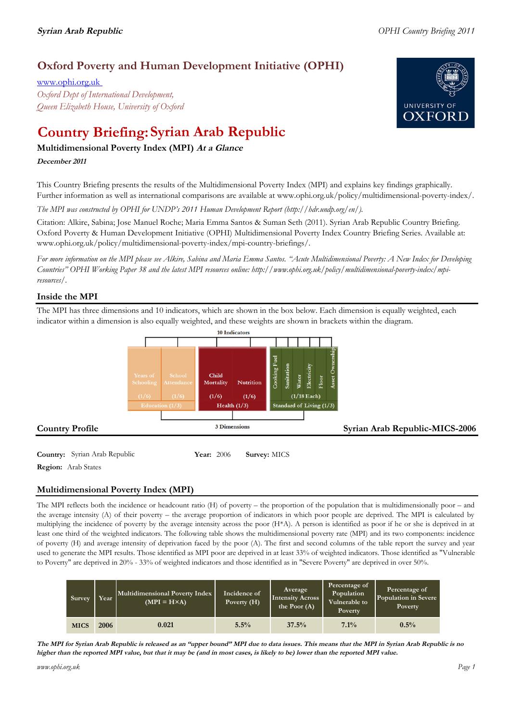# **Oxford Poverty and Human Development Initiative (OPHI)**

www.ophi.org.uk *Oxford Dept of International Development, Queen Elizabeth House, University of Oxford*

# **Country Briefing: Syrian Arab Republic**

# **Multidimensional Poverty Index (MPI) At <sup>a</sup> Glance**

# **December <sup>2011</sup>**

This Country Briefing presents the results of the Multidimensional Poverty Index (MPI) and explains key findings graphically. Further information as well as international comparisons are available at www.ophi.org.uk/policy/multidimensional-poverty-index/.

*The MPI was constructed by OPHI for UNDP's 2011 Human Development Report (http://hdr.undp.org/en/).*

Citation: Alkire, Sabina; Jose Manuel Roche; Maria Emma Santos & Suman Seth (2011). Syrian Arab Republic Country Briefing. Oxford Poverty & Human Development Initiative (OPHI) Multidimensional Poverty Index Country Briefing Series. Available at: www.ophi.org.uk/policy/multidimensional-poverty-index/mpi-country-briefings/.

*For more information on the MPI please see Alkire, Sabina and Maria Emma Santos. "Acute Multidimensional Poverty: A New Index for Developing Countries" OPHI Working Paper 38 and the latest MPI resources online: http://www.ophi.org.uk/policy/multidimensional-poverty-index/mpiresources/.*

# **Inside the MPI**

The MPI has three dimensions and 10 indicators, which are shown in the box below. Each dimension is equally weighted, each indicator within a dimension is also equally weighted, and these weights are shown in brackets within the diagram.



**Country:** Syrian Arab Republic **Year:** 2006 **Survey:** MICS **Region:** Arab States

# **Multidimensional Poverty Index (MPI)**

The MPI reflects both the incidence or headcount ratio (H) of poverty – the proportion of the population that is multidimensionally poor – and the average intensity (A) of their poverty – the average proportion of indicators in which poor people are deprived. The MPI is calculated by multiplying the incidence of poverty by the average intensity across the poor (H\*A). A person is identified as poor if he or she is deprived in at least one third of the weighted indicators. The following table shows the multidimensional poverty rate (MPI) and its two components: incidence of poverty (H) and average intensity of deprivation faced by the poor (A). The first and second columns of the table report the survey and year used to generate the MPI results. Those identified as MPI poor are deprived in at least 33% of weighted indicators. Those identified as "Vulnerable to Poverty" are deprived in 20% - 33% of weighted indicators and those identified as in "Severe Poverty" are deprived in over 50%.

| Survey      | Year | Multidimensional Poverty Index<br>$(MPI = H \times A)$ | Incidence of<br>Poverty (H) | Average<br><b>Intensity Across</b><br>the Poor $(A)$ | Percentage of<br>Population<br>Vulnerable to<br>Poverty | Percentage of<br>Population in Severe<br>Poverty |
|-------------|------|--------------------------------------------------------|-----------------------------|------------------------------------------------------|---------------------------------------------------------|--------------------------------------------------|
| <b>MICS</b> | 2006 | 0.021                                                  | 5.5%                        | 37.5%                                                | $7.1\%$                                                 | 0.5%                                             |

The MPI for Syrian Arab Republic is released as an "upper bound" MPI due to data issues. This means that the MPI in Syrian Arab Republic is no higher than the reported MPI value, but that it may be (and in most cases, is likely to be) lower than the reported MPI value.

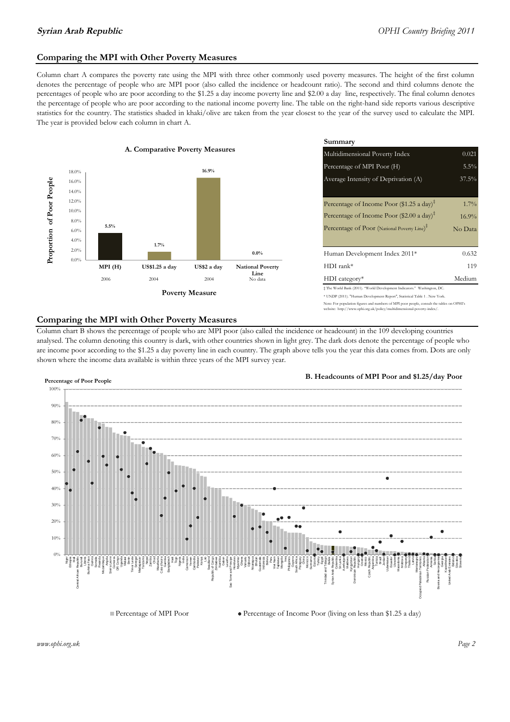# **Comparing the MPI with Other Poverty Measures**

Column chart A compares the poverty rate using the MPI with three other commonly used poverty measures. The height of the first column denotes the percentage of people who are MPI poor (also called the incidence or headcount ratio). The second and third columns denote the percentages of people who are poor according to the \$1.25 a day income poverty line and \$2.00 a day line, respectively. The final column denotes the percentage of people who are poor according to the national income poverty line. The table on the right-hand side reports various descriptive statistics for the country. The statistics shaded in khaki/olive are taken from the year closest to the year of the survey used to calculate the MPI. The year is provided below each column in chart A.



|                                        |                 | Summary<br>Multidimensional Poverty Index<br>0.021                                                                                                         |         |  |  |
|----------------------------------------|-----------------|------------------------------------------------------------------------------------------------------------------------------------------------------------|---------|--|--|
| erty Measures                          |                 |                                                                                                                                                            |         |  |  |
| 16.9%                                  |                 | Percentage of MPI Poor (H)                                                                                                                                 | 5.5%    |  |  |
|                                        |                 | Average Intensity of Deprivation (A)                                                                                                                       | 37.5%   |  |  |
|                                        |                 |                                                                                                                                                            |         |  |  |
|                                        |                 | Percentage of Income Poor (\$1.25 a day) <sup><math>\ddagger</math></sup>                                                                                  | $1.7\%$ |  |  |
|                                        |                 | Percentage of Income Poor (\$2.00 a day) <sup><math>\bar{x}</math></sup>                                                                                   | 16.9%   |  |  |
|                                        |                 | Percentage of Poor (National Poverty Line) <sup>#</sup>                                                                                                    | No Data |  |  |
|                                        |                 |                                                                                                                                                            |         |  |  |
|                                        | $0.0\%$         | Human Development Index 2011*                                                                                                                              | 0.632   |  |  |
| US\$2 a day<br><b>National Poverty</b> |                 | $HDI$ rank*                                                                                                                                                | 119     |  |  |
| 2004                                   | Line<br>No data | $HDI category*$                                                                                                                                            | Medium  |  |  |
| <b>Aeasure</b>                         |                 | $\pm$ The World Bank (2011). "World Development Indicators." Washington, DC.<br>* UNDP (2011). "Human Development Report", Statistical Table 1 . New York. |         |  |  |
|                                        |                 |                                                                                                                                                            |         |  |  |

### te: For population figures and numbers of MPI poor people, consult the tables on OPHI's te: http://www.ophi.org.uk/policy/multidimensional-poverty-index/

### **Comparing the MPI with Other Poverty Measures**

Column chart B shows the percentage of people who are MPI poor (also called the incidence or headcount) in the 109 developing countries analysed. The column denoting this country is dark, with other countries shown in light grey. The dark dots denote the percentage of people who are income poor according to the \$1.25 a day poverty line in each country. The graph above tells you the year this data comes from. Dots are only shown where the income data available is within three years of the MPI survey year.



**B. Headcounts of MPI Poor and \$1.25/day Poor**



*www.ophi.org.uk Page 2*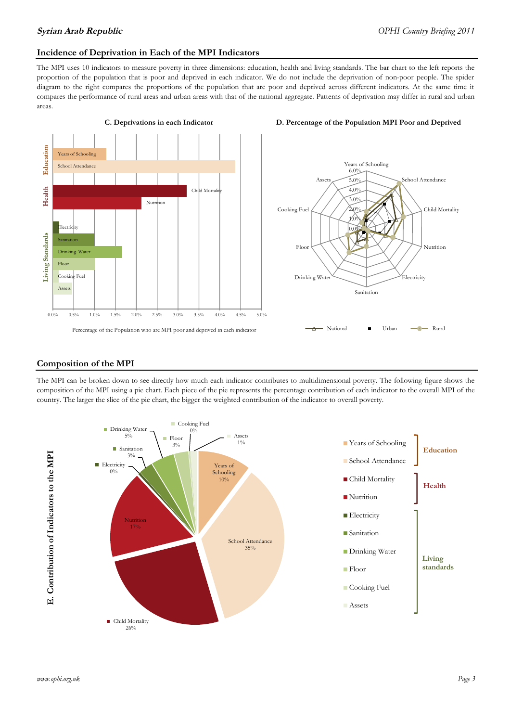# **Incidence of Deprivation in Each of the MPI Indicators**

The MPI uses 10 indicators to measure poverty in three dimensions: education, health and living standards. The bar chart to the left reports the proportion of the population that is poor and deprived in each indicator. We do not include the deprivation of non-poor people. The spider diagram to the right compares the proportions of the population that are poor and deprived across different indicators. At the same time it compares the performance of rural areas and urban areas with that of the national aggregate. Patterns of deprivation may differ in rural and urban areas.



### **C. Deprivations in each Indicator D. Percentage of the Population MPI Poor and Deprived**



### **Composition of the MPI**

The MPI can be broken down to see directly how much each indicator contributes to multidimensional poverty. The following figure shows the composition of the MPI using a pie chart. Each piece of the pie represents the percentage contribution of each indicator to the overall MPI of the country. The larger the slice of the pie chart, the bigger the weighted contribution of the indicator to overall poverty.